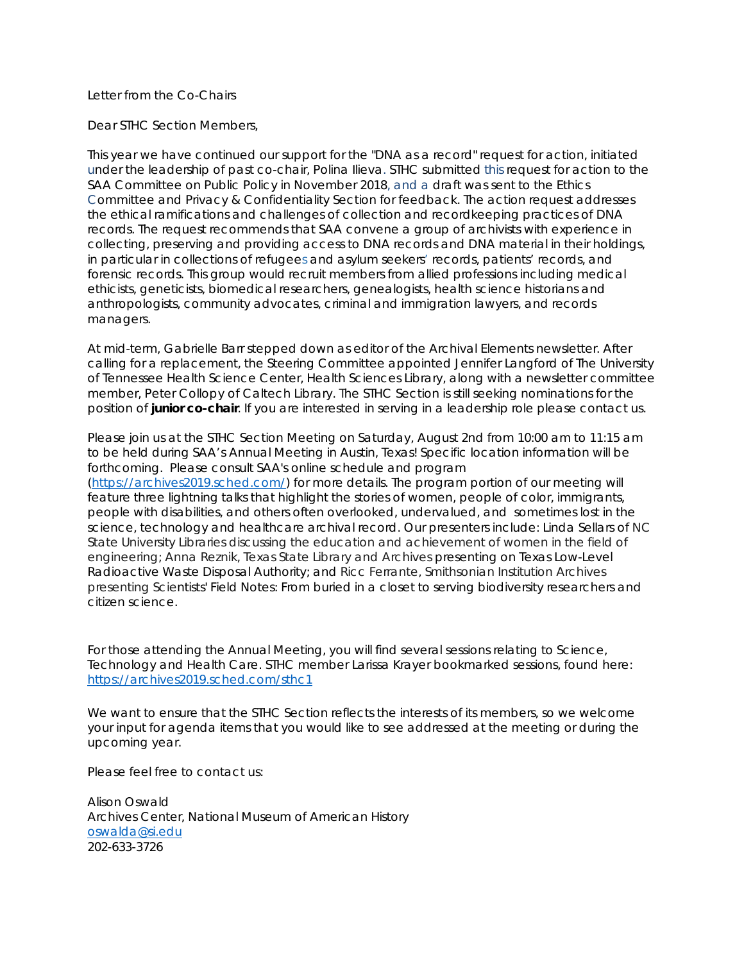## Letter from the Co-Chairs

Dear STHC Section Members,

This year we have continued our support for the "DNA as a record" request for action, initiated under the leadership of past co-chair, Polina Ilieva. STHC submitted this request for action to the SAA Committee on Public Policy in November 2018, and a draft was sent to the Ethics Committee and Privacy & Confidentiality Section for feedback. The action request addresses the ethical ramifications and challenges of collection and recordkeeping practices of DNA records. The request recommends that SAA convene a group of archivists with experience in collecting, preserving and providing access to DNA records and DNA material in their holdings, in particular in collections of refugees and asylum seekers' records, patients' records, and forensic records. This group would recruit members from allied professions including medical ethicists, geneticists, biomedical researchers, genealogists, health science historians and anthropologists, community advocates, criminal and immigration lawyers, and records managers.

At mid-term, Gabrielle Barr stepped down as editor of the *Archival Elements* newsletter. After calling for a replacement, the Steering Committee appointed Jennifer Langford of The University of Tennessee Health Science Center, Health Sciences Library, along with a newsletter committee member, Peter Collopy of Caltech Library. The STHC Section is still seeking nominations for the position of **junior co-chair**. If you are interested in serving in a leadership role please contact us.

Please join us at the STHC Section Meeting on Saturday, August 2nd from 10:00 am to 11:15 am to be held during SAA's Annual Meeting in Austin, Texas! Specific location information will be forthcoming. Please consult SAA's online schedule and program [\(https://archives2019.sched.com/\)](https://nam02.safelinks.protection.outlook.com/?url=https%3A%2F%2Farchives2019.sched.com%2F&data=02%7C01%7Coswalda%40si.edu%7C946ea2f755ed49468dde08d6fbfd9f36%7C989b5e2a14e44efe93b78cdd5fc5d11c%7C0%7C0%7C636973464057740182&sdata=KjlP5nzf5pRrBDcbiNVq896G9JuF2Iok%2BtSlRl3CHwo%3D&reserved=0) for more details. The program portion of our meeting will feature three lightning talks that highlight the stories of women, people of color, immigrants, people with disabilities, and others often overlooked, undervalued, and sometimes lost in the science, technology and healthcare archival record. Our presenters include: Linda Sellars of NC State University Libraries discussing the education and achievement of women in the field of engineering; Anna Reznik, Texas State Library and Archives presenting on Texas Low-Level Radioactive Waste Disposal Authority; and Ricc Ferrante, Smithsonian Institution Archives presenting Scientists' Field Notes: From buried in a closet to serving biodiversity researchers and citizen science.

For those attending the Annual Meeting, you will find several sessions relating to Science, Technology and Health Care. STHC member Larissa Krayer bookmarked sessions, found here: [https://archives2019.sched.com/sthc1](https://nam02.safelinks.protection.outlook.com/?url=https%3A%2F%2Furldefense.proofpoint.com%2Fv2%2Furl%3Fu%3Dhttps-3A__archives2019.sched.com_sthc1%26d%3DDwMFAg%26c%3DG2MiLlal7SXE3PeSnG8W6_JBU6FcdVjSsBSbw6gcR0U%26r%3Dp9QDp1-l0-dOOjPelHRFoALAdbupGpg6dcg3JcYHc_k%26m%3Db2-JH03K-VQ39rYz9KmMd69AYM2UoFNXGb9iBZcsebw%26s%3DX-1z8tGOjLtibD6iKF6efd1uK92VqX6rH2t5JFCwysY%26e%3D&data=02%7C01%7Coswalda%40si.edu%7C42b6b0f96d3c4b9e1b6608d70bbbce8f%7C989b5e2a14e44efe93b78cdd5fc5d11c%7C0%7C0%7C636990773573945160&sdata=nxlBI6J7vcpzZ0ztVSR8hiFY3fN1B0F9A0lEQiW86ac%3D&reserved=0)

We want to ensure that the STHC Section reflects the interests of its members, so we welcome your input for agenda items that you would like to see addressed at the meeting or during the upcoming year.

Please feel free to contact us:

Alison Oswald Archives Center, National Museum of American History [oswalda@si.edu](mailto:oswalda@si.edu) 202-633-3726